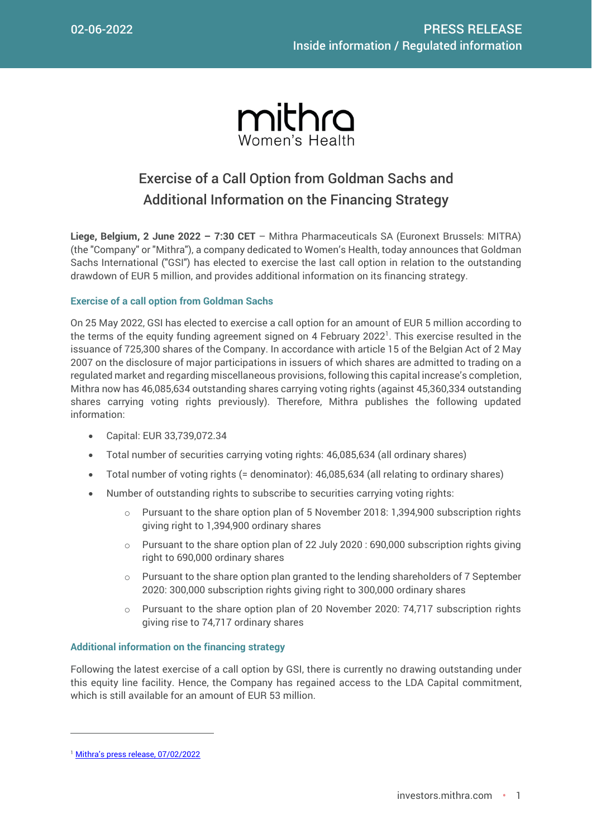

# Exercise of a Call Option from Goldman Sachs and Additional Information on the Financing Strategy

**Liege, Belgium, 2 June 2022 – 7:30 CET** – Mithra Pharmaceuticals SA (Euronext Brussels: MITRA) (the "Company" or "Mithra"), a company dedicated to Women's Health, today announces that Goldman Sachs International ("GSI") has elected to exercise the last call option in relation to the outstanding drawdown of EUR 5 million, and provides additional information on its financing strategy.

### **Exercise of a call option from Goldman Sachs**

On 25 May 2022, GSI has elected to exercise a call option for an amount of EUR 5 million according to the terms of the equity funding agreement signed on 4 February 2022<sup>1</sup>. This exercise resulted in the issuance of 725,300 shares of the Company. In accordance with article 15 of the Belgian Act of 2 May 2007 on the disclosure of major participations in issuers of which shares are admitted to trading on a regulated market and regarding miscellaneous provisions, following this capital increase's completion, Mithra now has 46,085,634 outstanding shares carrying voting rights (against 45,360,334 outstanding shares carrying voting rights previously). Therefore, Mithra publishes the following updated information:

- Capital: EUR 33,739,072.34
- Total number of securities carrying voting rights: 46,085,634 (all ordinary shares)
- Total number of voting rights (= denominator): 46,085,634 (all relating to ordinary shares)
- Number of outstanding rights to subscribe to securities carrying voting rights:
	- $\circ$  Pursuant to the share option plan of 5 November 2018: 1,394,900 subscription rights giving right to 1,394,900 ordinary shares
	- $\circ$  Pursuant to the share option plan of 22 July 2020 : 690,000 subscription rights giving right to 690,000 ordinary shares
	- $\circ$  Pursuant to the share option plan granted to the lending shareholders of 7 September 2020: 300,000 subscription rights giving right to 300,000 ordinary shares
	- $\circ$  Pursuant to the share option plan of 20 November 2020: 74,717 subscription rights giving rise to 74,717 ordinary shares

### **Additional information on the financing strategy**

Following the latest exercise of a call option by GSI, there is currently no drawing outstanding under this equity line facility. Hence, the Company has regained access to the LDA Capital commitment, which is still available for an amount of EUR 53 million.

 $\overline{a}$ 

<sup>&</sup>lt;sup>1</sup> [Mithra's press release, 07/02/2022](https://investors.mithra.com/wp-content/uploads/2022/02/2022-02-07-Equity-Funding-Goldman-Sachs-EN.pdf)